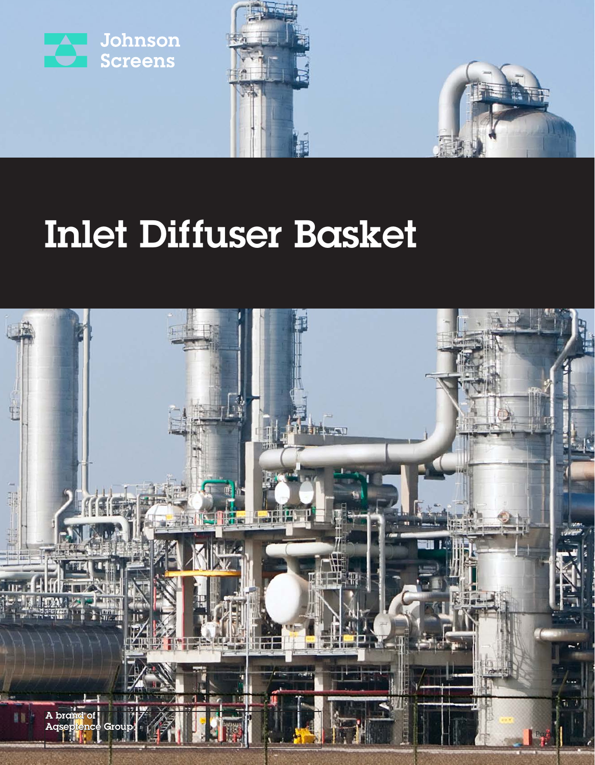



# Inlet Diffuser Basket

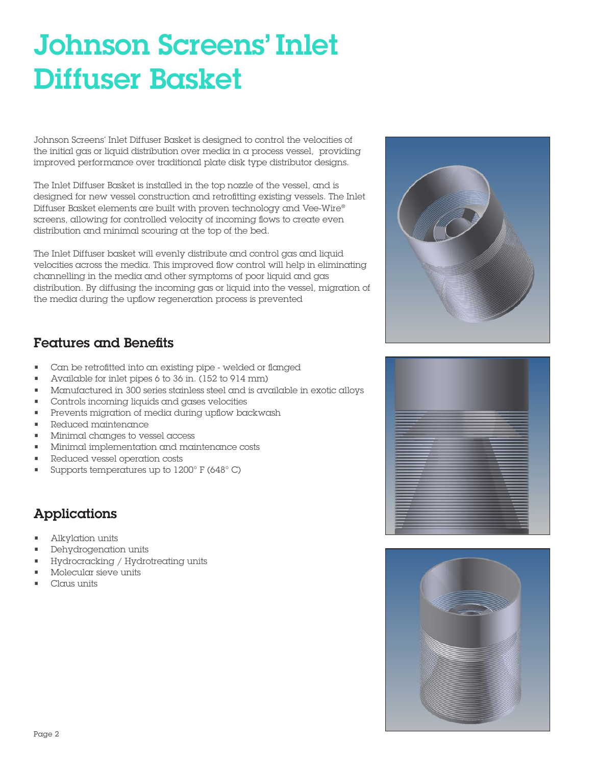## Johnson Screens' Inlet Diffuser Basket

Johnson Screens' Inlet Diffuser Basket is designed to control the velocities of the initial gas or liquid distribution over media in a process vessel, providing improved performance over traditional plate disk type distributor designs.

The Inlet Diffuser Basket is installed in the top nozzle of the vessel, and is designed for new vessel construction and retrofitting existing vessels. The Inlet Diffuser Basket elements are built with proven technology and Vee-Wire® screens, allowing for controlled velocity of incoming flows to create even distribution and minimal scouring at the top of the bed.

The Inlet Diffuser basket will evenly distribute and control gas and liquid velocities across the media. This improved flow control will help in eliminating channelling in the media and other symptoms of poor liquid and gas distribution. By diffusing the incoming gas or liquid into the vessel, migration of the media during the upflow regeneration process is prevented



### Features and Benefits

- Can be retrofitted into an existing pipe welded or flanged
- Available for inlet pipes 6 to 36 in. (152 to 914 mm)
- Manufactured in 300 series stainless steel and is available in exotic alloys
- Controls incoming liquids and gases velocities
- Prevents migration of media during upflow backwash
- Reduced maintenance
- Minimal changes to vessel access
- Minimal implementation and maintenance costs
- Reduced vessel operation costs
- Supports temperatures up to 1200° F (648° C)

## Applications

- Alkylation units
- Dehydrogenation units
- Hydrocracking / Hydrotreating units
- Molecular sieve units
- Claus units

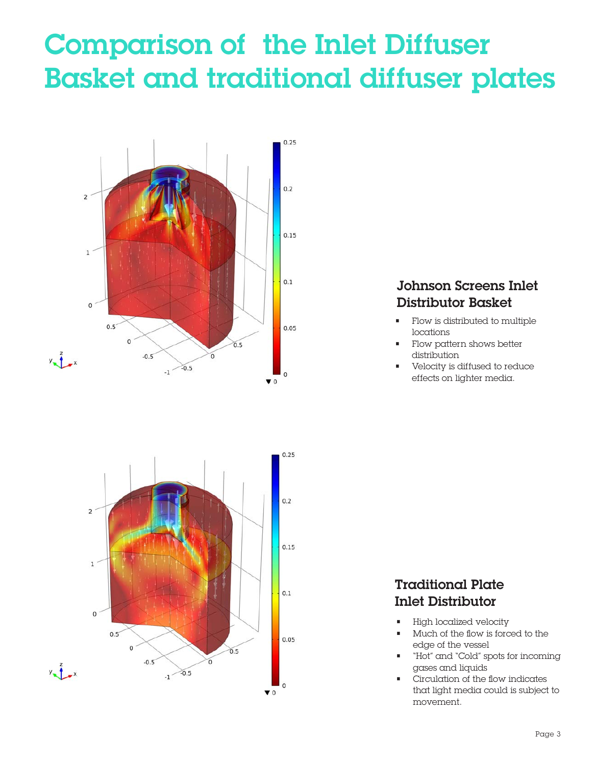## Comparison of the Inlet Diffuser Basket and traditional diffuser plates





### Johnson Screens Inlet Distributor Basket

- Flow is distributed to multiple locations
- Flow pattern shows better distribution
- Velocity is diffused to reduce effects on lighter media.

## Traditional Plate Inlet Distributor

- High localized velocity
- Much of the flow is forced to the edge of the vessel
- "Hot" and "Cold" spots for incoming gases and liquids
- Circulation of the flow indicates that light media could is subject to movement.